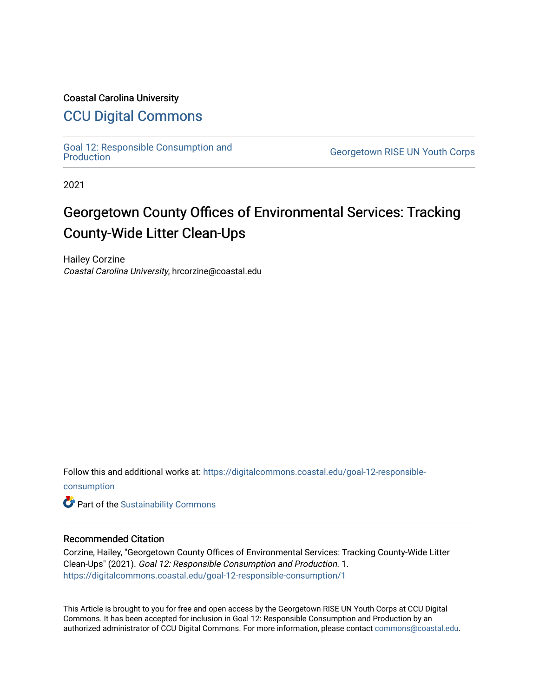# Coastal Carolina University

# [CCU Digital Commons](https://digitalcommons.coastal.edu/)

[Goal 12: Responsible Consumption and](https://digitalcommons.coastal.edu/goal-12-responsible-consumption) 

**Georgetown RISE UN Youth Corps** 

2021

# Georgetown County Offices of Environmental Services: Tracking County-Wide Litter Clean-Ups

Hailey Corzine Coastal Carolina University, hrcorzine@coastal.edu

Follow this and additional works at: [https://digitalcommons.coastal.edu/goal-12-responsible-](https://digitalcommons.coastal.edu/goal-12-responsible-consumption?utm_source=digitalcommons.coastal.edu%2Fgoal-12-responsible-consumption%2F1&utm_medium=PDF&utm_campaign=PDFCoverPages)

[consumption](https://digitalcommons.coastal.edu/goal-12-responsible-consumption?utm_source=digitalcommons.coastal.edu%2Fgoal-12-responsible-consumption%2F1&utm_medium=PDF&utm_campaign=PDFCoverPages)

**Part of the [Sustainability Commons](http://network.bepress.com/hgg/discipline/1031?utm_source=digitalcommons.coastal.edu%2Fgoal-12-responsible-consumption%2F1&utm_medium=PDF&utm_campaign=PDFCoverPages)** 

#### Recommended Citation

Corzine, Hailey, "Georgetown County Offices of Environmental Services: Tracking County-Wide Litter Clean-Ups" (2021). Goal 12: Responsible Consumption and Production. 1. [https://digitalcommons.coastal.edu/goal-12-responsible-consumption/1](https://digitalcommons.coastal.edu/goal-12-responsible-consumption/1?utm_source=digitalcommons.coastal.edu%2Fgoal-12-responsible-consumption%2F1&utm_medium=PDF&utm_campaign=PDFCoverPages)

This Article is brought to you for free and open access by the Georgetown RISE UN Youth Corps at CCU Digital Commons. It has been accepted for inclusion in Goal 12: Responsible Consumption and Production by an authorized administrator of CCU Digital Commons. For more information, please contact [commons@coastal.edu](mailto:commons@coastal.edu).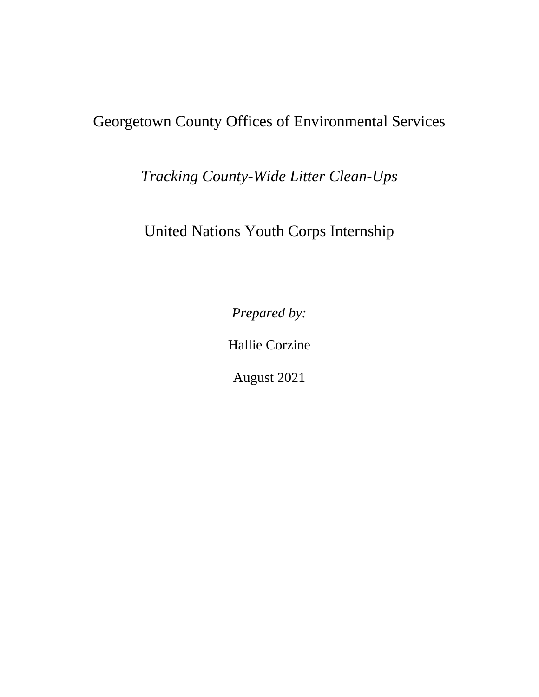# Georgetown County Offices of Environmental Services

*Tracking County-Wide Litter Clean-Ups*

United Nations Youth Corps Internship

*Prepared by:* 

Hallie Corzine

August 2021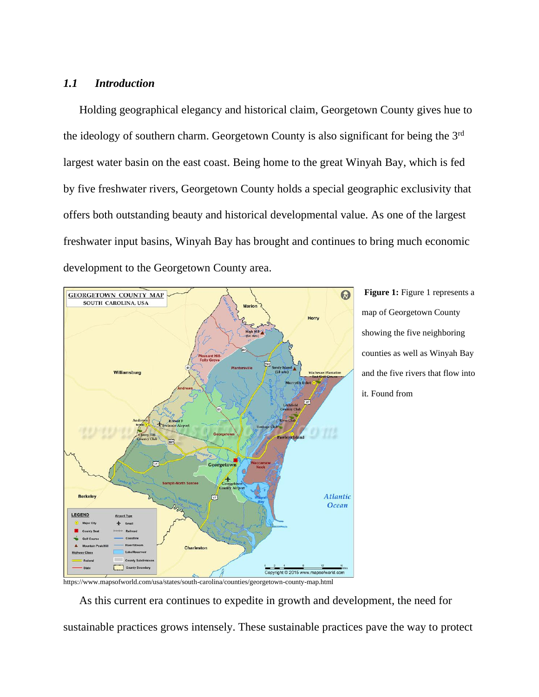## *1.1 Introduction*

Holding geographical elegancy and historical claim, Georgetown County gives hue to the ideology of southern charm. Georgetown County is also significant for being the 3rd largest water basin on the east coast. Being home to the great Winyah Bay, which is fed by five freshwater rivers, Georgetown County holds a special geographic exclusivity that offers both outstanding beauty and historical developmental value. As one of the largest freshwater input basins, Winyah Bay has brought and continues to bring much economic development to the Georgetown County area.



**Figure 1:** Figure 1 represents a map of Georgetown County showing the five neighboring counties as well as Winyah Bay and the five rivers that flow into it. Found from

https://www.mapsofworld.com/usa/states/south-carolina/counties/georgetown-county-map.html

As this current era continues to expedite in growth and development, the need for sustainable practices grows intensely. These sustainable practices pave the way to protect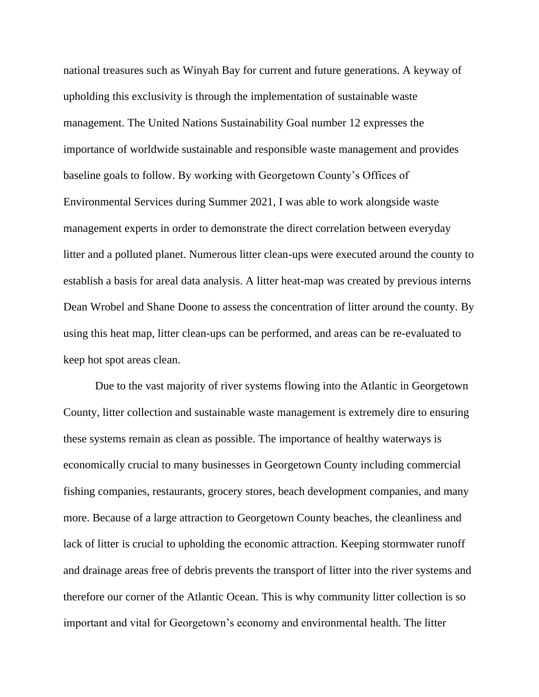national treasures such as Winyah Bay for current and future generations. A keyway of upholding this exclusivity is through the implementation of sustainable waste management. The United Nations Sustainability Goal number 12 expresses the importance of worldwide sustainable and responsible waste management and provides baseline goals to follow. By working with Georgetown County's Offices of Environmental Services during Summer 2021, I was able to work alongside waste management experts in order to demonstrate the direct correlation between everyday litter and a polluted planet. Numerous litter clean-ups were executed around the county to establish a basis for areal data analysis. A litter heat-map was created by previous interns Dean Wrobel and Shane Doone to assess the concentration of litter around the county. By using this heat map, litter clean-ups can be performed, and areas can be re-evaluated to keep hot spot areas clean.

Due to the vast majority of river systems flowing into the Atlantic in Georgetown County, litter collection and sustainable waste management is extremely dire to ensuring these systems remain as clean as possible. The importance of healthy waterways is economically crucial to many businesses in Georgetown County including commercial fishing companies, restaurants, grocery stores, beach development companies, and many more. Because of a large attraction to Georgetown County beaches, the cleanliness and lack of litter is crucial to upholding the economic attraction. Keeping stormwater runoff and drainage areas free of debris prevents the transport of litter into the river systems and therefore our corner of the Atlantic Ocean. This is why community litter collection is so important and vital for Georgetown's economy and environmental health. The litter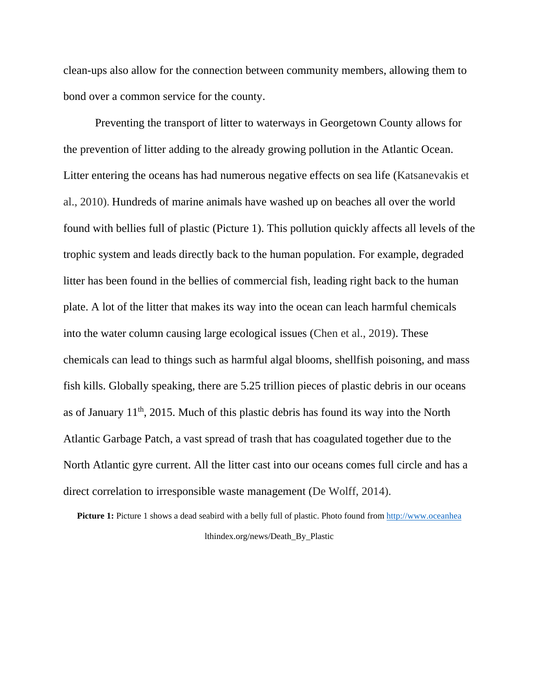clean-ups also allow for the connection between community members, allowing them to bond over a common service for the county.

Preventing the transport of litter to waterways in Georgetown County allows for the prevention of litter adding to the already growing pollution in the Atlantic Ocean. Litter entering the oceans has had numerous negative effects on sea life (Katsanevakis et al., 2010). Hundreds of marine animals have washed up on beaches all over the world found with bellies full of plastic (Picture 1). This pollution quickly affects all levels of the trophic system and leads directly back to the human population. For example, degraded litter has been found in the bellies of commercial fish, leading right back to the human plate. A lot of the litter that makes its way into the ocean can leach harmful chemicals into the water column causing large ecological issues (Chen et al., 2019). These chemicals can lead to things such as harmful algal blooms, shellfish poisoning, and mass fish kills. Globally speaking, there are 5.25 trillion pieces of plastic debris in our oceans as of January  $11<sup>th</sup>$ , 2015. Much of this plastic debris has found its way into the North Atlantic Garbage Patch, a vast spread of trash that has coagulated together due to the North Atlantic gyre current. All the litter cast into our oceans comes full circle and has a direct correlation to irresponsible waste management (De Wolff, 2014).

**Picture 1:** Picture 1 shows a dead seabird with a belly full of plastic. Photo found from [http://www.oceanhea](http://www.oceanhea/) lthindex.org/news/Death\_By\_Plastic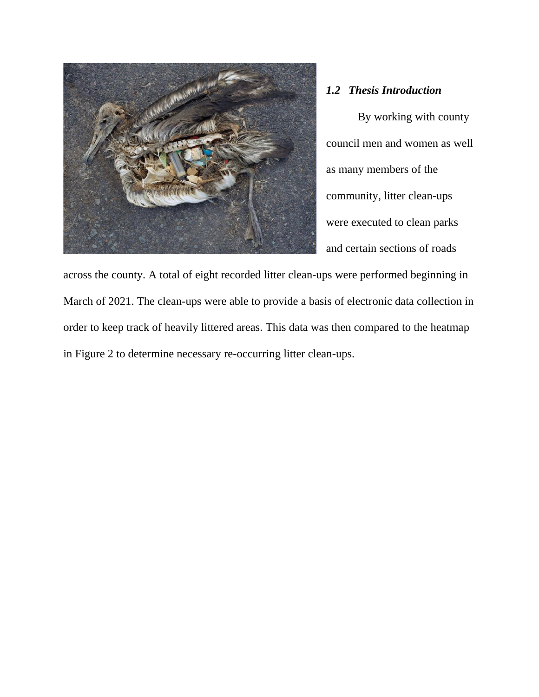

## *1.2 Thesis Introduction*

By working with county council men and women as well as many members of the community, litter clean-ups were executed to clean parks and certain sections of roads

across the county. A total of eight recorded litter clean-ups were performed beginning in March of 2021. The clean-ups were able to provide a basis of electronic data collection in order to keep track of heavily littered areas. This data was then compared to the heatmap in Figure 2 to determine necessary re-occurring litter clean-ups.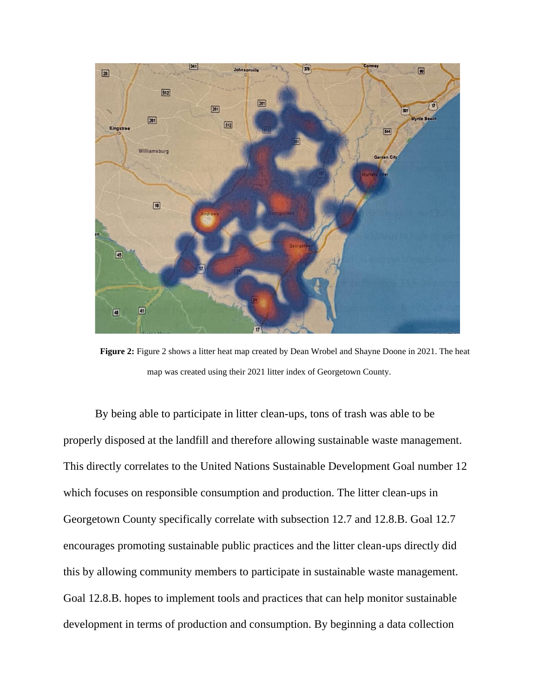

**Figure 2:** Figure 2 shows a litter heat map created by Dean Wrobel and Shayne Doone in 2021. The heat map was created using their 2021 litter index of Georgetown County.

By being able to participate in litter clean-ups, tons of trash was able to be properly disposed at the landfill and therefore allowing sustainable waste management. This directly correlates to the United Nations Sustainable Development Goal number 12 which focuses on responsible consumption and production. The litter clean-ups in Georgetown County specifically correlate with subsection 12.7 and 12.8.B. Goal 12.7 encourages promoting sustainable public practices and the litter clean-ups directly did this by allowing community members to participate in sustainable waste management. Goal 12.8.B. hopes to implement tools and practices that can help monitor sustainable development in terms of production and consumption. By beginning a data collection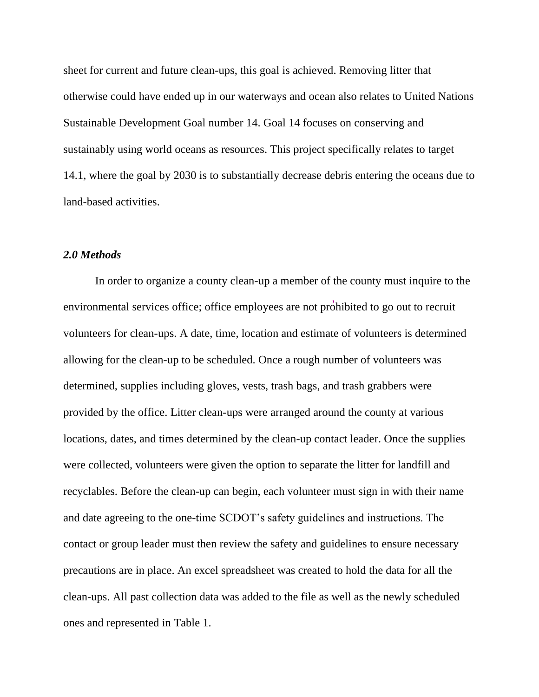sheet for current and future clean-ups, this goal is achieved. Removing litter that otherwise could have ended up in our waterways and ocean also relates to United Nations Sustainable Development Goal number 14. Goal 14 focuses on conserving and sustainably using world oceans as resources. This project specifically relates to target 14.1, where the goal by 2030 is to substantially decrease debris entering the oceans due to land-based activities.

#### *2.0 Methods*

In order to organize a county clean-up a member of the county must inquire to the environmental services office; office employees are not prohibited to go out to recruit volunteers for clean-ups. A date, time, location and estimate of volunteers is determined allowing for the clean-up to be scheduled. Once a rough number of volunteers was determined, supplies including gloves, vests, trash bags, and trash grabbers were provided by the office. Litter clean-ups were arranged around the county at various locations, dates, and times determined by the clean-up contact leader. Once the supplies were collected, volunteers were given the option to separate the litter for landfill and recyclables. Before the clean-up can begin, each volunteer must sign in with their name and date agreeing to the one-time SCDOT's safety guidelines and instructions. The contact or group leader must then review the safety and guidelines to ensure necessary precautions are in place. An excel spreadsheet was created to hold the data for all the clean-ups. All past collection data was added to the file as well as the newly scheduled ones and represented in Table 1.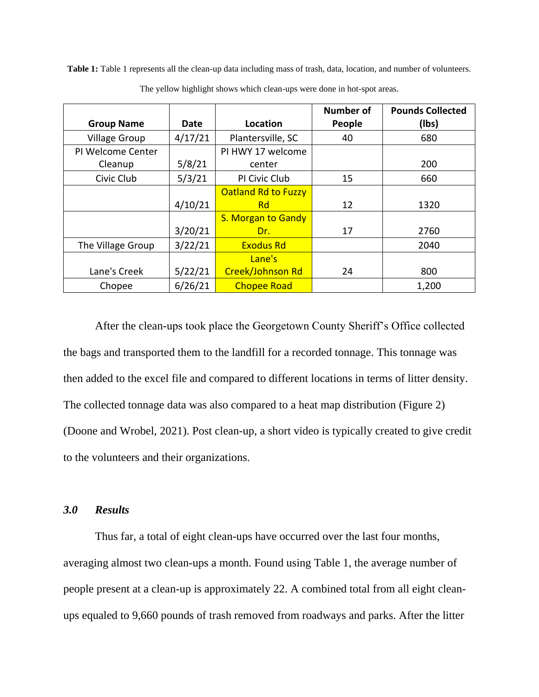**Table 1:** Table 1 represents all the clean-up data including mass of trash, data, location, and number of volunteers.

|                      |         |                            | <b>Number of</b> | <b>Pounds Collected</b> |
|----------------------|---------|----------------------------|------------------|-------------------------|
| <b>Group Name</b>    | Date    | Location                   | People           | (Ibs)                   |
| <b>Village Group</b> | 4/17/21 | Plantersville, SC          | 40               | 680                     |
| PI Welcome Center    |         | PI HWY 17 welcome          |                  |                         |
| Cleanup              | 5/8/21  | center                     |                  | 200                     |
| Civic Club           | 5/3/21  | PI Civic Club              | 15               | 660                     |
|                      |         | <b>Oatland Rd to Fuzzy</b> |                  |                         |
|                      | 4/10/21 | <b>Rd</b>                  | 12               | 1320                    |
|                      |         | S. Morgan to Gandy         |                  |                         |
|                      | 3/20/21 | Dr.                        | 17               | 2760                    |
| The Village Group    | 3/22/21 | <b>Exodus Rd</b>           |                  | 2040                    |
|                      |         | Lane's                     |                  |                         |
| Lane's Creek         | 5/22/21 | Creek/Johnson Rd           | 24               | 800                     |
| Chopee               | 6/26/21 | <b>Chopee Road</b>         |                  | 1,200                   |

The yellow highlight shows which clean-ups were done in hot-spot areas.

After the clean-ups took place the Georgetown County Sheriff's Office collected the bags and transported them to the landfill for a recorded tonnage. This tonnage was then added to the excel file and compared to different locations in terms of litter density. The collected tonnage data was also compared to a heat map distribution (Figure 2) (Doone and Wrobel, 2021). Post clean-up, a short video is typically created to give credit to the volunteers and their organizations.

### *3.0 Results*

Thus far, a total of eight clean-ups have occurred over the last four months, averaging almost two clean-ups a month. Found using Table 1, the average number of people present at a clean-up is approximately 22. A combined total from all eight cleanups equaled to 9,660 pounds of trash removed from roadways and parks. After the litter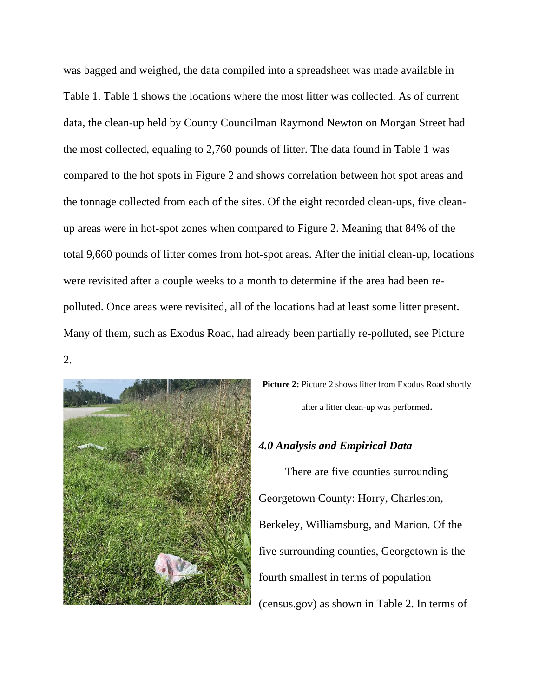was bagged and weighed, the data compiled into a spreadsheet was made available in Table 1. Table 1 shows the locations where the most litter was collected. As of current data, the clean-up held by County Councilman Raymond Newton on Morgan Street had the most collected, equaling to 2,760 pounds of litter. The data found in Table 1 was compared to the hot spots in Figure 2 and shows correlation between hot spot areas and the tonnage collected from each of the sites. Of the eight recorded clean-ups, five cleanup areas were in hot-spot zones when compared to Figure 2. Meaning that 84% of the total 9,660 pounds of litter comes from hot-spot areas. After the initial clean-up, locations were revisited after a couple weeks to a month to determine if the area had been repolluted. Once areas were revisited, all of the locations had at least some litter present. Many of them, such as Exodus Road, had already been partially re-polluted, see Picture

2.



**Picture 2:** Picture 2 shows litter from Exodus Road shortly after a litter clean-up was performed.

# *4.0 Analysis and Empirical Data*

There are five counties surrounding Georgetown County: Horry, Charleston, Berkeley, Williamsburg, and Marion. Of the five surrounding counties, Georgetown is the fourth smallest in terms of population (census.gov) as shown in Table 2. In terms of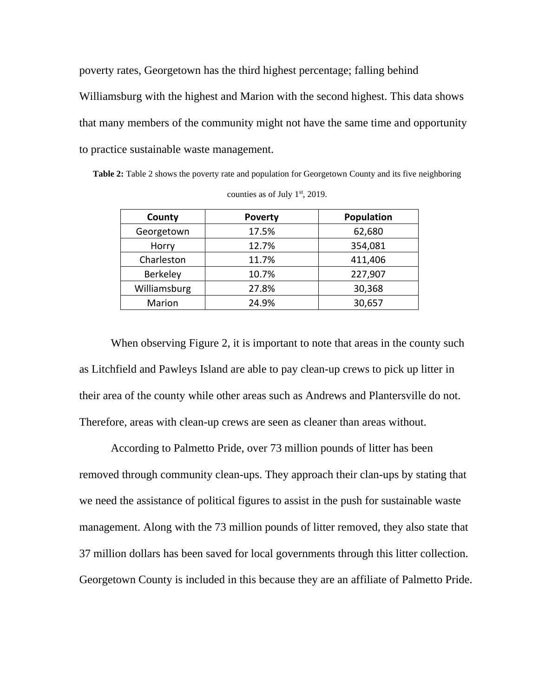poverty rates, Georgetown has the third highest percentage; falling behind Williamsburg with the highest and Marion with the second highest. This data shows that many members of the community might not have the same time and opportunity to practice sustainable waste management.

**Table 2:** Table 2 shows the poverty rate and population for Georgetown County and its five neighboring counties as of July  $1<sup>st</sup>$ , 2019.

| County       | <b>Poverty</b> | Population |
|--------------|----------------|------------|
| Georgetown   | 17.5%          | 62,680     |
| Horry        | 12.7%          | 354,081    |
| Charleston   | 11.7%          | 411,406    |
| Berkeley     | 10.7%          | 227,907    |
| Williamsburg | 27.8%          | 30,368     |
| Marion       | 24.9%          | 30,657     |

When observing Figure 2, it is important to note that areas in the county such as Litchfield and Pawleys Island are able to pay clean-up crews to pick up litter in their area of the county while other areas such as Andrews and Plantersville do not. Therefore, areas with clean-up crews are seen as cleaner than areas without.

According to Palmetto Pride, over 73 million pounds of litter has been removed through community clean-ups. They approach their clan-ups by stating that we need the assistance of political figures to assist in the push for sustainable waste management. Along with the 73 million pounds of litter removed, they also state that 37 million dollars has been saved for local governments through this litter collection. Georgetown County is included in this because they are an affiliate of Palmetto Pride.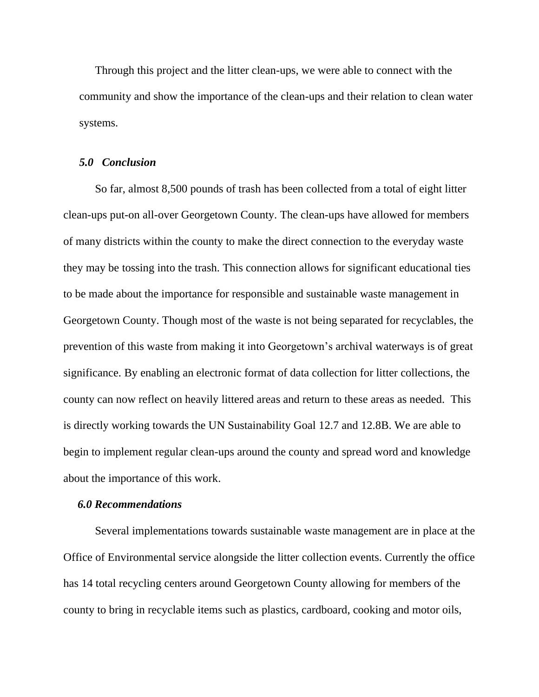Through this project and the litter clean-ups, we were able to connect with the community and show the importance of the clean-ups and their relation to clean water systems.

#### *5.0 Conclusion*

So far, almost 8,500 pounds of trash has been collected from a total of eight litter clean-ups put-on all-over Georgetown County. The clean-ups have allowed for members of many districts within the county to make the direct connection to the everyday waste they may be tossing into the trash. This connection allows for significant educational ties to be made about the importance for responsible and sustainable waste management in Georgetown County. Though most of the waste is not being separated for recyclables, the prevention of this waste from making it into Georgetown's archival waterways is of great significance. By enabling an electronic format of data collection for litter collections, the county can now reflect on heavily littered areas and return to these areas as needed. This is directly working towards the UN Sustainability Goal 12.7 and 12.8B. We are able to begin to implement regular clean-ups around the county and spread word and knowledge about the importance of this work.

#### *6.0 Recommendations*

Several implementations towards sustainable waste management are in place at the Office of Environmental service alongside the litter collection events. Currently the office has 14 total recycling centers around Georgetown County allowing for members of the county to bring in recyclable items such as plastics, cardboard, cooking and motor oils,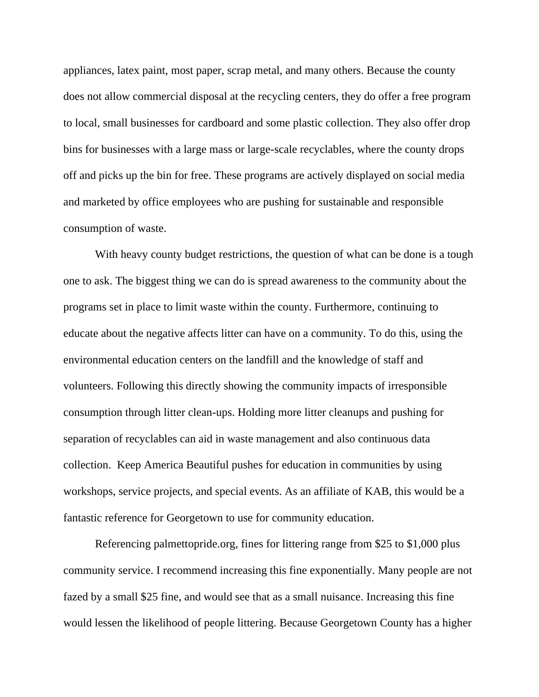appliances, latex paint, most paper, scrap metal, and many others. Because the county does not allow commercial disposal at the recycling centers, they do offer a free program to local, small businesses for cardboard and some plastic collection. They also offer drop bins for businesses with a large mass or large-scale recyclables, where the county drops off and picks up the bin for free. These programs are actively displayed on social media and marketed by office employees who are pushing for sustainable and responsible consumption of waste.

With heavy county budget restrictions, the question of what can be done is a tough one to ask. The biggest thing we can do is spread awareness to the community about the programs set in place to limit waste within the county. Furthermore, continuing to educate about the negative affects litter can have on a community. To do this, using the environmental education centers on the landfill and the knowledge of staff and volunteers. Following this directly showing the community impacts of irresponsible consumption through litter clean-ups. Holding more litter cleanups and pushing for separation of recyclables can aid in waste management and also continuous data collection. Keep America Beautiful pushes for education in communities by using workshops, service projects, and special events. As an affiliate of KAB, this would be a fantastic reference for Georgetown to use for community education.

Referencing palmettopride.org, fines for littering range from \$25 to \$1,000 plus community service. I recommend increasing this fine exponentially. Many people are not fazed by a small \$25 fine, and would see that as a small nuisance. Increasing this fine would lessen the likelihood of people littering. Because Georgetown County has a higher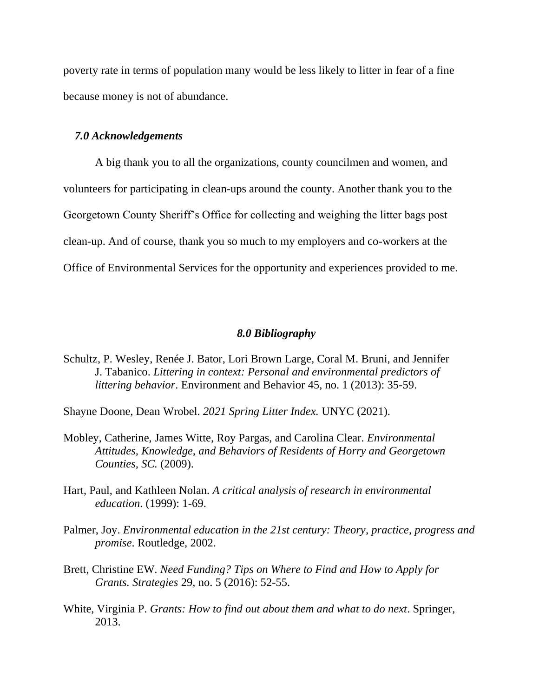poverty rate in terms of population many would be less likely to litter in fear of a fine because money is not of abundance.

#### *7.0 Acknowledgements*

A big thank you to all the organizations, county councilmen and women, and volunteers for participating in clean-ups around the county. Another thank you to the Georgetown County Sheriff's Office for collecting and weighing the litter bags post clean-up. And of course, thank you so much to my employers and co-workers at the Office of Environmental Services for the opportunity and experiences provided to me.

#### *8.0 Bibliography*

- Schultz, P. Wesley, Renée J. Bator, Lori Brown Large, Coral M. Bruni, and Jennifer J. Tabanico. *Littering in context: Personal and environmental predictors of littering behavior*. Environment and Behavior 45, no. 1 (2013): 35-59.
- Shayne Doone, Dean Wrobel. *2021 Spring Litter Index.* UNYC (2021).
- Mobley, Catherine, James Witte, Roy Pargas, and Carolina Clear. *Environmental Attitudes, Knowledge, and Behaviors of Residents of Horry and Georgetown Counties, SC.* (2009).
- Hart, Paul, and Kathleen Nolan. *A critical analysis of research in environmental education*. (1999): 1-69.
- Palmer, Joy. *Environmental education in the 21st century: Theory, practice, progress and promise*. Routledge, 2002.
- Brett, Christine EW. *Need Funding? Tips on Where to Find and How to Apply for Grants. Strategies* 29, no. 5 (2016): 52-55.
- White, Virginia P. *Grants: How to find out about them and what to do next*. Springer, 2013.